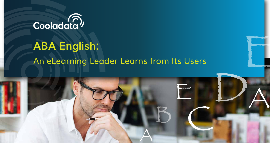

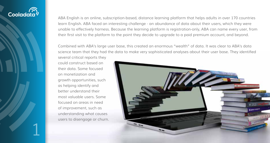

ABA English is an online, subscription-based, distance learning platform that helps adults in over 170 countries learn English. ABA faced an interesting challenge - an abundance of data about their users, which they were unable to effectively harness. Because the learning platform is registration-only, ABA can name every user, from their first visit to the platform to the point they decide to upgrade to a paid premium account, and beyond.

Combined with ABA's large user base, this created an enormous "wealth" of data. It was clear to ABA's data science team that they had the data to make very sophisticated analyses about their user base. They identified

several critical reports they could construct based on their data. Some focused on monetization and growth opportunities, such as helping identify and better understand their most valuable users. Some focused on areas in need of improvement, such as understanding what causes users to disengage or churn.

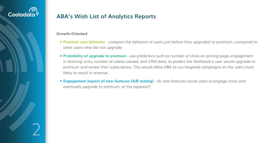

## **ABA's Wish List of Analytics Reports**

### **Growth-Oriented**

- **Premium user behavior** compare the behavior of users just before they upgraded to premium, compared to other users who did not upgrade.
- **Probability of upgrade to premium** use predictors such as number of clicks on pricing page, engagement in learning units, number of videos viewed, and CRM data, to predict the likelihood a user would upgrade to premium and renew their subscription. This would allow ABA to run targeted campaigns on the users most likely to result in revenue.
- **Engagement impact of new features (A/B testing)** do new features cause users to engage more and eventually upgrade to premium, or the opposite?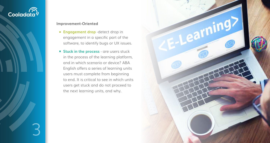# Cooladata<sup>)</sup>

3

### **Improvement-Oriented**

- **Engagement drop** -detect drop in engagement in a specific part of the software, to identify bugs or UX issues.
- **Stuck in the process** are users stuck in the process of the learning platform, and in which scenario or device? ABA English offers a series of learning units users must complete from beginning to end. It is critical to see in which units users get stuck and do not proceed to the next learning units, and why.

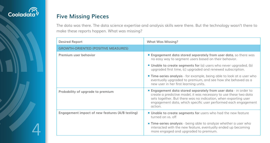

## **Five Missing Pieces**

The data was there. The data science expertise and analysis skills were there. But the technology wasn't there to make these reports happen. What was missing?

| <b>Desired Report</b>                           | <b>What Was Missing?</b>                                                                                                                                                                            |  |  |  |
|-------------------------------------------------|-----------------------------------------------------------------------------------------------------------------------------------------------------------------------------------------------------|--|--|--|
| <b>GROWTH-ORIENTED (POSITIVE MEASURES)</b>      |                                                                                                                                                                                                     |  |  |  |
| Premium user behavior                           | <b>Engagement data stored separately from</b><br>no easy way to segment users based on th                                                                                                           |  |  |  |
|                                                 | ■ Unable to create segments for (a) users w<br>upgraded first time, (c) upgraded and rene                                                                                                           |  |  |  |
|                                                 | <b>Time-series analysis</b> - for example, being c<br>eventually upgraded to premium, and see<br>new user in her first learning units.                                                              |  |  |  |
| Probability of upgrade to premium               | <b>Engagement data stored separately from</b><br>create a predictive model, it was necessary<br>sets together. But there was no indication,<br>engagement data, which specific user perf<br>action. |  |  |  |
| Engagement impact of new features (A/B testing) | <b>Unable to create segments for users who</b><br>turned on vs. off                                                                                                                                 |  |  |  |
|                                                 | <b>Time-series analysis</b> - being able to analyz<br>interacted with the new feature, eventually<br>more engaged and upgraded to premium.                                                          |  |  |  |

**EDEP and ST data**, so there was n their behavior.

**S** who never upgraded, (b) enewed subscription.

**The-series analysis is designed.** The able to look at a user who ee how she behaved as a

**EDEP on data - in order to** sary to use these two data on, when exporting user berformed each engagement

ho had the new feature

**The-series analyze whether a user who** ially ended up becoming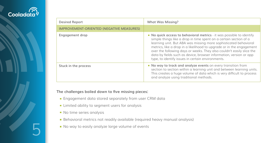

**The challenges boiled down to five missing pieces:**

- **Engagement data stored separately from user CRM data**
- **Limited ability to segment users for analysis**
- No time series analysis
- **Behavioral metrics not readily available (required heavy manual analysis)**
- No way to easily analyze large volume of events

**s** - it was possible to identify on a certain section of a ore sophisticated behavioral ipgrade or in the engagement also couldn't easily slice the information, version or app onments.

**No way to track and analyze events** on every transition from it and between learning units. hich is very difficult to process

| <b>Desired Report</b>                           | <b>What Was Missing?</b>                                                                                                                                                                                                                                                                                       |
|-------------------------------------------------|----------------------------------------------------------------------------------------------------------------------------------------------------------------------------------------------------------------------------------------------------------------------------------------------------------------|
| <b>IMPROVEMENT-ORIENTED (NEGATIVE MEASURES)</b> |                                                                                                                                                                                                                                                                                                                |
| <b>Engagement drop</b>                          | • No quick access to behavioral metrics<br>simple things like a drop in time spent<br>learning unit. But ABA was missing mo<br>metrics, like a drop in a likelihood to up<br>over the following days or weeks. They<br>data by fields such as device, browser i<br>type, to identify issues in certain enviror |
| Stuck in the process                            | No way to track and analyze events of<br>section to section within a learning unit<br>This creates a huge volume of data wh<br>and analyze using traditional methods.                                                                                                                                          |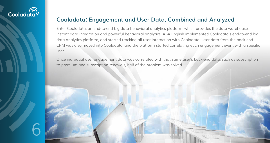

## **Cooladata: Engagement and User Data, Combined and Analyzed**

Enter Cooladata, an end-to-end big data behavioral analytics platform, which provides the data warehouse, instant data integration and powerful behavioral analytics. ABA English implemented Cooladata's end-to-end big data analytics platform, and started tracking all user interaction with Cooladata. User data from the back-end CRM was also moved into Cooladata, and the platform started correlating each engagement event with a specific user.

Once individual user engagement data was correlated with that same user's back-end data, such as subscription to premium and subscription renewals, half of the problem was solved.

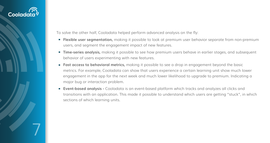# Cooladat

7

To solve the other half, Cooladata helped perform advanced analysis on the fly:

- **Flexible user segmentation,** making it possible to look at premium user behavior separate from non-premium users, and segment the engagement impact of new features.
- **Time-series analysis,** making it possible to see how premium users behave in earlier stages, and subsequent behavior of users experimenting with new features.
- **Fast access to behavioral metrics,** making it possible to see a drop in engagement beyond the basic metrics. For example, Cooladata can show that users experience a certain learning unit show much lower engagement in the app for the next week and much lower likelihood to upgrade to premium. Indicating a major bug or interaction problem.
- **Event-based analysis -** Cooladata is an event-based platform which tracks and analyzes all clicks and transitions with an application. This made it possible to understand which users are getting "stuck", in which sections of which learning units.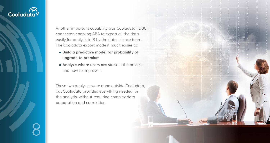# Cooladata<sup>)</sup>

8

Another important capability was Cooladata' JDBC connector, enabling ABA to export all the data easily for analysis in R by the data science team. The Cooladata export made it much easier to:

- **Build a predictive model for probability of upgrade to premium**
- **Analyze where users are stuck** in the process and how to improve it

These two analyses were done outside Cooladata, but Cooladata provided everything needed for the analysis, without requiring complex data preparation and correlation.

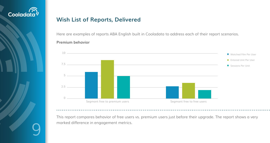

## **Wish List of Reports, Delivered**

Here are examples of reports ABA English built in Cooladata to address each of their report scenarios. **Premium behavior**

This report compares behavior of free users vs. premium users just before their upgrade. The report shows a very marked difference in engagement metrics.





**Entered Unit Per User** 

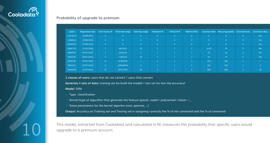

### **Probability of upgrade to premium**

This model, extracted from Cooladata and calculated in Rl, measures the probability that specific users would upgrade to a premium account.

**2 classes of users:** users that do not convert / users that convert

- Type: *classification*
- Kernel (type of algorithm that generate the feature space): *radial / polynomial / linear / ...*
- Some parameters for the kernel algoritm (cost, gamma, ...)

**Generate 2 sets of data:** training set (to build the model) / test set (to test the accuracy)

**Model:** SVM

**Output:** Accuracy on Training set and Testing set in assigning correctly the % of not converted and the % of converted

| userid   | <b>Registration day</b> | Total session # | <b>Total time usage</b> | Total day usage | Total level #  | Total unit #   | <b>Watched film</b> | <b>Listened Audio</b> | Max prog update | <b>Converted user</b> | <b>Conversion days</b> |
|----------|-------------------------|-----------------|-------------------------|-----------------|----------------|----------------|---------------------|-----------------------|-----------------|-----------------------|------------------------|
| 11073570 | 29/08/2016              | $\overline{0}$  | $\overline{0}$          | $\overline{0}$  | $\overline{0}$ | $\overline{0}$ | $\overline{0}$      | $\Omega$              | $\Omega$        | $\overline{0}$        | <b>NA</b>              |
| 11068413 | 29/08/2016              | $\overline{0}$  | $\overline{0}$          | $\overline{0}$  | $\overline{0}$ | $\overline{0}$ | $\overline{0}$      | $\Omega$              | $\Omega$        | $\overline{0}$        | <b>NA</b>              |
| 10597625 | 07/08/2016              | $\overline{0}$  | $\overline{0}$          | $\overline{0}$  | $\overline{0}$ | $\overline{0}$ | $\overline{0}$      | $\overline{0}$        | $\Omega$        | $\overline{0}$        | <b>NA</b>              |
| 10041725 | 12/07/2016              | $\overline{7}$  | 6615415                 | 34              | $\mathbf{1}$   |                | $\overline{2}$      | 4139                  | 74              | $\overline{0}$        | <b>NA</b>              |
| 9889540  | 03/07/2016              |                 | 1063226                 |                 |                |                |                     | 55                    | 25              | $\overline{0}$        | <b>NA</b>              |
| 9916325  | 04/07/2016              | $\overline{3}$  | 1283128                 | 10              |                |                |                     | 54                    | 37              | $\overline{0}$        | <b>NA</b>              |
| 9894530  | 03/07/2016              | 11              | 91909249                |                 | $\mathbf{1}$   |                | $\overline{3}$      | 442                   | 100             |                       |                        |
| 9901931  | 03/07/2016              | 8 <sup>°</sup>  | 109648843               | $\overline{2}$  | $\mathbf{1}$   |                | 6                   | 205                   | 100             |                       | 3                      |
| 10041570 | 12/07/2016              | 19              | 45712146                | 29              |                |                | 5 <sub>5</sub>      | 300                   | 100             |                       | 34                     |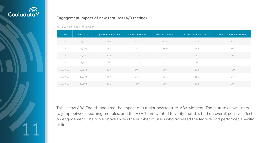

## **Engagement impact of new features (A/B testing)**

This is how ABA English analyzed the impact of a major new feature, ABA Moment. The feature allows users to jump between learning modules, and the ABA Team wanted to verify that this had an overall positive effect on engagement. The table above shows the number of users who accessed the feature and performed specific actions.

| day         | active users | opend moment type | opened moment | started moment | started moment exercise | selected moment answer |
|-------------|--------------|-------------------|---------------|----------------|-------------------------|------------------------|
| $2017 - 0$  | 13,682       | 18.8              | 17.8          | 17.5           | 17.5                    | 17.4                   |
| $2017 - 0.$ | 13,757       | 18.3              | 17            | 16.9           | 16.8                    | 16.7                   |
| $2017 - 0.$ | 16,454       | 21.9              | 21.2          | 21             | 21                      | 20.8                   |
| $2017 - 0.$ | 18,544       | 24                | 23.2          | 23             | 23                      | 22.7                   |
| $2017 - 0$  | 19,335       | 31.4              | 30.1          | 29.5           | 29.5                    | 29                     |
| $2017 - 0.$ | 20,081       | 26.4              | 25.5          | 25.1           | 25.1                    | 24.8                   |
| $2017 - 0.$ | 20,861       | 31.1              | 30            | 29.5           | 29.5                    | 29.1                   |

Starting Full Roll Out: 2017-06-01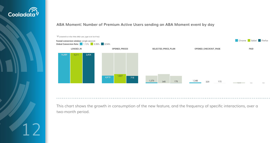



This chart shows the growth in consumption of the new feature, and the frequency of specific interactions, over a two-month period.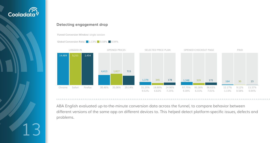

### **Detecting engagement drop**

ABA English evaluated up-to-the-minute conversion data across the funnel, to compare behavior between different versions of the same app on different devices to. This helped detect platform-specific issues, defects and problems.



**Funnel Conversion Window:** single session

**Global Conversion Rate:** 1.13% 0.58% 0.94%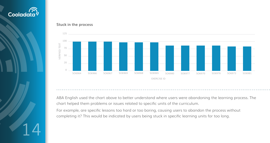

### **Stuck in the process**

ABA English used the chart above to better understand where users were abandoning the learning process. The chart helped them problems or issues related to specific units of the curriculum.

For example, are specific lessons too hard or too boring, causing users to abandon the process without completing it? This would be indicated by users being stuck in specific learning units for too long.

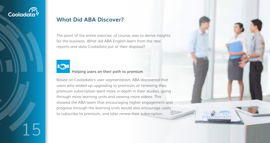

## **What Did ABA Discover?**

The point of the entire exercise, of course, was to derive insights for the business. What did ABA English learn from the new reports and data Cooladata put at their disposal?



## **Helping users on their path to premium**

Based on Cooladata's user segmentation, ABA discovered that users who ended up upgrading to premium, or renewing their premium subscription went more in-depth in their studies, going through more learning units and viewing more videos. This showed the ABA team that encouraging higher engagement and progress through the learning units would also encourage users to subscribe to premium, and later renew their subscription.

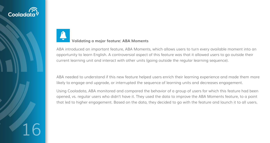# Coolada

16

# **Validating a major feature: ABA Moments**

ABA introduced an important feature, ABA Moments, which allows users to turn every available moment into an opportunity to learn English. A controversial aspect of this feature was that it allowed users to go outside their current learning unit and interact with other units (going outside the regular learning sequence).

ABA needed to understand if this new feature helped users enrich their learning experience and made them more likely to engage and upgrade, or interrupted the sequence of learning units and decreases engagement.

Using Cooladata, ABA monitored and compared the behavior of a group of users for which this feature had been opened, vs. regular users who didn't have it. They used the data to improve the ABA Moments feature, to a point that led to higher engagement. Based on the data, they decided to go with the feature and launch it to all users.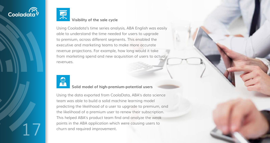



## **Visibility of the sale cycle**

Using Cooladata's time series analysis, ABA English was easily able to understand the time needed for users to upgrade to premium, across different segments. This enabled the executive and marketing teams to make more accurate revenue projections. For example, how long would it take from marketing spend and new acquisition of users to actual revenues.



## **Solid model of high-premium-potential users**

Using the data exported from CoolaData, ABA's data science team was able to build a solid machine learning model predicting the likelihood of a user to upgrade to premium, and the likelihood of a premium user to renew their subscription. This helped ABA's product team find and analyze the weak points in the ABA application which were causing users to churn and required improvement.

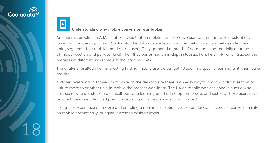



### **Understanding why mobile conversion was broken**

An endemic problem in ABA's platform was that on mobile devices, conversion to premium was substantially lower than on desktop. Using Cooladata, the data science team analyzed behavior in and between learning units, segmented for mobile and desktop users. They gathered a month of data and exported daily aggregates at the per-section and per-user level. Then they performed an in-depth statistical analysis in R, which tracked the progress of different users through the learning units.

The analysis resulted in an interesting finding: mobile users often get "stuck" in a specific learning unit, then leave the site.

A closer investigation showed that, while on the desktop site there is an easy way to "skip" a difficult section or unit to move to another unit, in mobile the process was linear. The UX on mobile was designed in such a way that users who got stuck in a difficult part of a learning unit had no option to skip, and just left. Those users never reached the more advanced premium learning units, and so would not convert.

Fixing this experience on mobile and enabling a non-linear experience, like on desktop, increased conversion rate on mobile dramatically, bringing it close to desktop levels.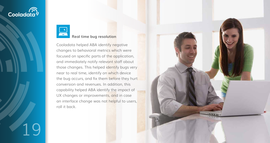# Cooladata<sup>)</sup>

19



## **Real time bug resolution**

Cooladata helped ABA identify negative changes to behavioral metrics which were focused on specific parts of the application, and immediately notify relevant staff about those changes. This helped identify bugs very near to real time, identify on which device the bug occurs, and fix them before they hurt conversion and revenues. In addition, this capability helped ABA identify the impact of UX changes or improvements, and in case an interface change was not helpful to users, roll it back.